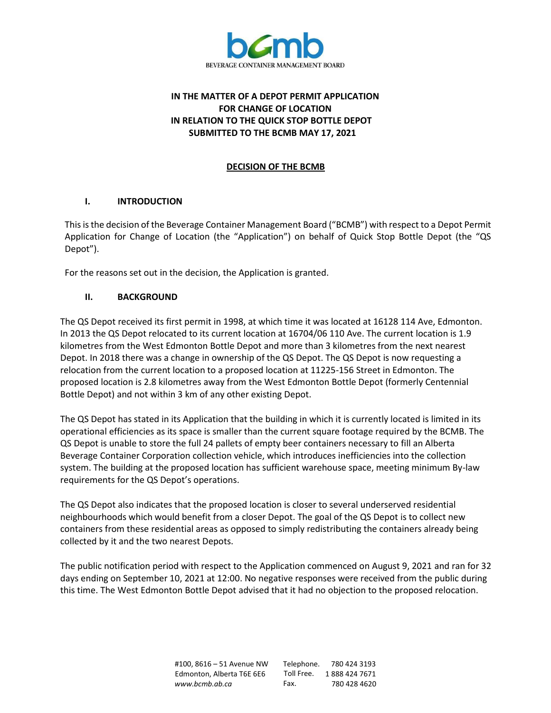

# **IN THE MATTER OF A DEPOT PERMIT APPLICATION FOR CHANGE OF LOCATION IN RELATION TO THE QUICK STOP BOTTLE DEPOT SUBMITTED TO THE BCMB MAY 17, 2021**

## **DECISION OF THE BCMB**

## **I. INTRODUCTION**

This is the decision of the Beverage Container Management Board ("BCMB") with respect to a Depot Permit Application for Change of Location (the "Application") on behalf of Quick Stop Bottle Depot (the "QS Depot").

For the reasons set out in the decision, the Application is granted.

## **II. BACKGROUND**

The QS Depot received its first permit in 1998, at which time it was located at 16128 114 Ave, Edmonton. In 2013 the QS Depot relocated to its current location at 16704/06 110 Ave. The current location is 1.9 kilometres from the West Edmonton Bottle Depot and more than 3 kilometres from the next nearest Depot. In 2018 there was a change in ownership of the QS Depot. The QS Depot is now requesting a relocation from the current location to a proposed location at 11225-156 Street in Edmonton. The proposed location is 2.8 kilometres away from the West Edmonton Bottle Depot (formerly Centennial Bottle Depot) and not within 3 km of any other existing Depot.

The QS Depot has stated in its Application that the building in which it is currently located is limited in its operational efficiencies as its space is smaller than the current square footage required by the BCMB. The QS Depot is unable to store the full 24 pallets of empty beer containers necessary to fill an Alberta Beverage Container Corporation collection vehicle, which introduces inefficiencies into the collection system. The building at the proposed location has sufficient warehouse space, meeting minimum By-law requirements for the QS Depot's operations.

The QS Depot also indicates that the proposed location is closer to several underserved residential neighbourhoods which would benefit from a closer Depot. The goal of the QS Depot is to collect new containers from these residential areas as opposed to simply redistributing the containers already being collected by it and the two nearest Depots.

The public notification period with respect to the Application commenced on August 9, 2021 and ran for 32 days ending on September 10, 2021 at 12:00. No negative responses were received from the public during this time. The West Edmonton Bottle Depot advised that it had no objection to the proposed relocation.

> #100, 8616 – 51 Avenue NW Edmonton, Alberta T6E 6E6 *[www.bcmb.ab.ca](http://www.bcmb.ab.ca/)* Telephone. 780 424 3193 Toll Free. 1 888 424 7671 Fax. 780 428 4620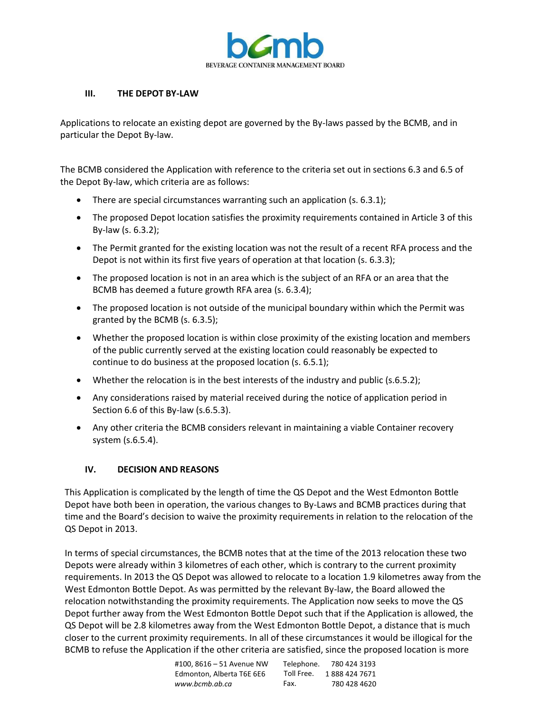

#### **III. THE DEPOT BY-LAW**

Applications to relocate an existing depot are governed by the By-laws passed by the BCMB, and in particular the Depot By-law.

The BCMB considered the Application with reference to the criteria set out in sections 6.3 and 6.5 of the Depot By-law, which criteria are as follows:

- There are special circumstances warranting such an application (s. 6.3.1);
- The proposed Depot location satisfies the proximity requirements contained in Article 3 of this By-law (s. 6.3.2);
- The Permit granted for the existing location was not the result of a recent RFA process and the Depot is not within its first five years of operation at that location (s. 6.3.3);
- The proposed location is not in an area which is the subject of an RFA or an area that the BCMB has deemed a future growth RFA area (s. 6.3.4);
- The proposed location is not outside of the municipal boundary within which the Permit was granted by the BCMB (s. 6.3.5);
- Whether the proposed location is within close proximity of the existing location and members of the public currently served at the existing location could reasonably be expected to continue to do business at the proposed location (s. 6.5.1);
- Whether the relocation is in the best interests of the industry and public (s.6.5.2);
- Any considerations raised by material received during the notice of application period in Section 6.6 of this By-law (s.6.5.3).
- Any other criteria the BCMB considers relevant in maintaining a viable Container recovery system (s.6.5.4).

#### **IV. DECISION AND REASONS**

This Application is complicated by the length of time the QS Depot and the West Edmonton Bottle Depot have both been in operation, the various changes to By-Laws and BCMB practices during that time and the Board's decision to waive the proximity requirements in relation to the relocation of the QS Depot in 2013.

In terms of special circumstances, the BCMB notes that at the time of the 2013 relocation these two Depots were already within 3 kilometres of each other, which is contrary to the current proximity requirements. In 2013 the QS Depot was allowed to relocate to a location 1.9 kilometres away from the West Edmonton Bottle Depot. As was permitted by the relevant By-law, the Board allowed the relocation notwithstanding the proximity requirements. The Application now seeks to move the QS Depot further away from the West Edmonton Bottle Depot such that if the Application is allowed, the QS Depot will be 2.8 kilometres away from the West Edmonton Bottle Depot, a distance that is much closer to the current proximity requirements. In all of these circumstances it would be illogical for the BCMB to refuse the Application if the other criteria are satisfied, since the proposed location is more

| #100.8616 - 51 Avenue NW  | Telephone. | 780 424 3193  |
|---------------------------|------------|---------------|
| Edmonton, Alberta T6E 6E6 | Toll Free. | 1888 424 7671 |
| www.bcmb.ab.ca            | Fax.       | 780 428 4620  |